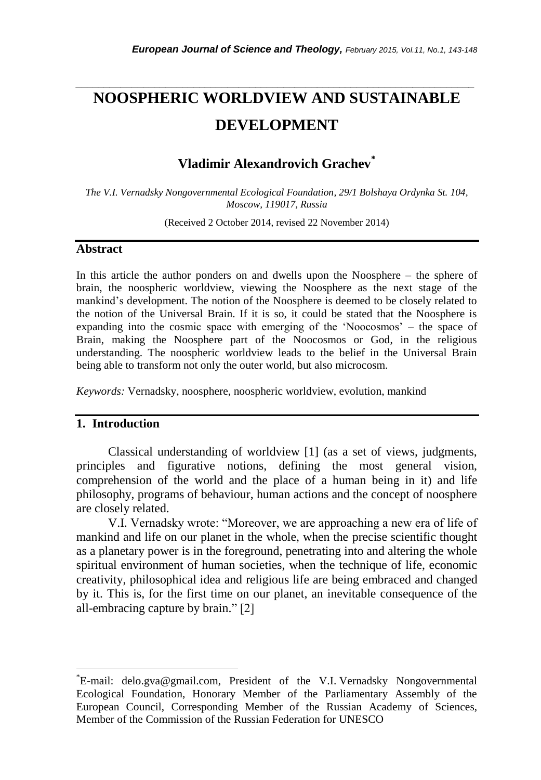# **NOOSPHERIC WORLDVIEW AND SUSTAINABLE DEVELOPMENT**

*\_\_\_\_\_\_\_\_\_\_\_\_\_\_\_\_\_\_\_\_\_\_\_\_\_\_\_\_\_\_\_\_\_\_\_\_\_\_\_\_\_\_\_\_\_\_\_\_\_\_\_\_\_\_\_\_\_\_\_\_\_\_\_\_\_\_\_\_\_\_\_*

# **Vladimir Alexandrovich Grachev\***

*The V.I. Vernadsky Nongovernmental Ecological Foundation, 29/1 Bolshaya Ordynka St. 104, Moscow, 119017, Russia*

(Received 2 October 2014, revised 22 November 2014)

#### **Abstract**

In this article the author ponders on and dwells upon the Noosphere – the sphere of brain, the noospheric worldview, viewing the Noosphere as the next stage of the mankind"s development. The notion of the Noosphere is deemed to be closely related to the notion of the Universal Brain. If it is so, it could be stated that the Noosphere is expanding into the cosmic space with emerging of the 'Noocosmos' – the space of Brain, making the Noosphere part of the Noocosmos or God, in the religious understanding. The noospheric worldview leads to the belief in the Universal Brain being able to transform not only the outer world, but also microcosm.

*Keywords:* Vernadsky, noosphere, noospheric worldview, evolution, mankind

## **1. Introduction**

l

Classical understanding of worldview [1] (as a set of views, judgments, principles and figurative notions, defining the most general vision, comprehension of the world and the place of a human being in it) and life philosophy, programs of behaviour, human actions and the concept of noosphere are closely related.

V.I. Vernadsky wrote: "Moreover, we are approaching a new era of life of mankind and life on our planet in the whole, when the precise scientific thought as a planetary power is in the foreground, penetrating into and altering the whole spiritual environment of human societies, when the technique of life, economic creativity, philosophical idea and religious life are being embraced and changed by it. This is, for the first time on our planet, an inevitable consequence of the all-embracing capture by brain." [2]

<sup>\*</sup>E-mail: delo.gva@gmail.com, President of the V.I. Vernadsky Nongovernmental Ecological Foundation, Honorary Member of the Parliamentary Assembly of the European Council, Corresponding Member of the Russian Academy of Sciences, Member of the Commission of the Russian Federation for UNESCO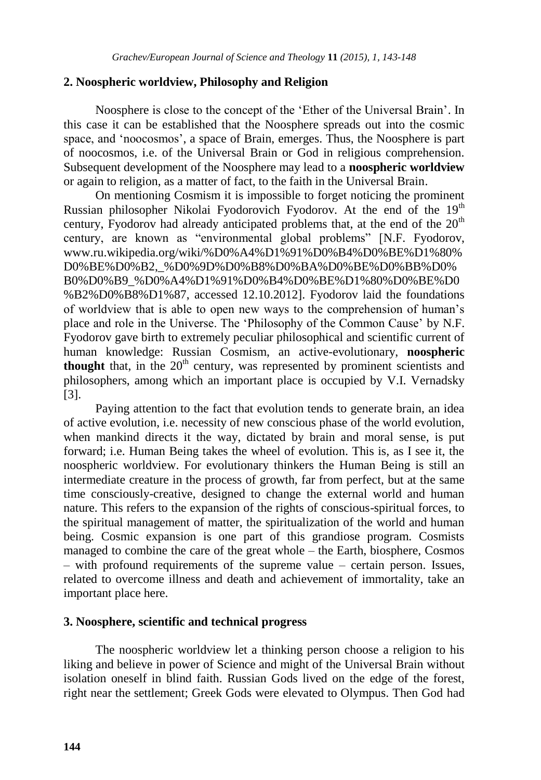### **2. Noospheric worldview, Philosophy and Religion**

Noosphere is close to the concept of the "Ether of the Universal Brain". In this case it can be established that the Noosphere spreads out into the cosmic space, and "noocosmos", a space of Brain, emerges. Thus, the Noosphere is part of noocosmos, i.e. of the Universal Brain or God in religious comprehension. Subsequent development of the Noosphere may lead to a **noospheric worldview** or again to religion, as a matter of fact, to the faith in the Universal Brain.

On mentioning Cosmism it is impossible to forget noticing the prominent Russian philosopher Nikolai Fyodorovich Fyodorov. At the end of the 19<sup>th</sup> century, Fyodorov had already anticipated problems that, at the end of the  $20<sup>th</sup>$ century, are known as "environmental global problems" [N.F. Fyodorov, www.ru.wikipedia.org/wiki/%D0%A4%D1%91%D0%B4%D0%BE%D1%80% D0%BE%D0%B2,\_%D0%9D%D0%B8%D0%BA%D0%BE%D0%BB%D0% B0%D0%B9\_%D0%A4%D1%91%D0%B4%D0%BE%D1%80%D0%BE%D0 %B2%D0%B8%D1%87, accessed 12.10.2012]. Fyodorov laid the foundations of worldview that is able to open new ways to the comprehension of human"s place and role in the Universe. The "Philosophy of the Common Cause" by N.F. Fyodorov gave birth to extremely peculiar philosophical and scientific current of human knowledge: Russian Cosmism, an active-evolutionary, **noospheric thought** that, in the  $20<sup>th</sup>$  century, was represented by prominent scientists and philosophers, among which an important place is occupied by V.I. Vernadsky [3].

Paying attention to the fact that evolution tends to generate brain, an idea of active evolution, i.e. necessity of new conscious phase of the world evolution, when mankind directs it the way, dictated by brain and moral sense, is put forward; i.e. Human Being takes the wheel of evolution. This is, as I see it, the noospheric worldview. For evolutionary thinkers the Human Being is still an intermediate creature in the process of growth, far from perfect, but at the same time consciously-creative, designed to change the external world and human nature. This refers to the expansion of the rights of conscious-spiritual forces, to the spiritual management of matter, the spiritualization of the world and human being. Cosmic expansion is one part of this grandiose program. Cosmists managed to combine the care of the great whole – the Earth, biosphere, Cosmos – with profound requirements of the supreme value – certain person. Issues, related to overcome illness and death and achievement of immortality, take an important place here.

## **3. Noosphere, scientific and technical progress**

The noospheric worldview let a thinking person choose a religion to his liking and believe in power of Science and might of the Universal Brain without isolation oneself in blind faith. Russian Gods lived on the edge of the forest, right near the settlement; Greek Gods were elevated to Olympus. Then God had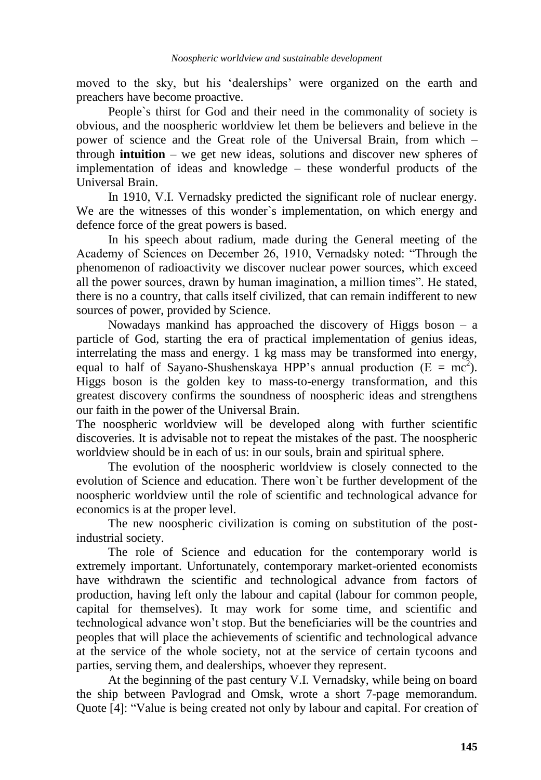moved to the sky, but his 'dealerships' were organized on the earth and preachers have become proactive.

People`s thirst for God and their need in the commonality of society is obvious, and the noospheric worldview let them be believers and believe in the power of science and the Great role of the Universal Brain, from which – through **intuition** – we get new ideas, solutions and discover new spheres of implementation of ideas and knowledge – these wonderful products of the Universal Brain.

In 1910, V.I. Vernadsky predicted the significant role of nuclear energy. We are the witnesses of this wonder`s implementation, on which energy and defence force of the great powers is based.

In his speech about radium, made during the General meeting of the Academy of Sciences on December 26, 1910, Vernadsky noted: "Through the phenomenon of radioactivity we discover nuclear power sources, which exceed all the power sources, drawn by human imagination, a million times". He stated, there is no a country, that calls itself civilized, that can remain indifferent to new sources of power, provided by Science.

Nowadays mankind has approached the discovery of Higgs boson  $-$  a particle of God, starting the era of practical implementation of genius ideas, interrelating the mass and energy. 1 kg mass may be transformed into energy, equal to half of Sayano-Shushenskaya HPP's annual production ( $E = mc^2$ ). Higgs boson is the golden key to mass-to-energy transformation, and this greatest discovery confirms the soundness of noospheric ideas and strengthens our faith in the power of the Universal Brain.

The noospheric worldview will be developed along with further scientific discoveries. It is advisable not to repeat the mistakes of the past. The noospheric worldview should be in each of us: in our souls, brain and spiritual sphere.

The evolution of the noospheric worldview is closely connected to the evolution of Science and education. There won`t be further development of the noospheric worldview until the role of scientific and technological advance for economics is at the proper level.

The new noospheric civilization is coming on substitution of the postindustrial society.

The role of Science and education for the contemporary world is extremely important. Unfortunately, contemporary market-oriented economists have withdrawn the scientific and technological advance from factors of production, having left only the labour and capital (labour for common people, capital for themselves). It may work for some time, and scientific and technological advance won"t stop. But the beneficiaries will be the countries and peoples that will place the achievements of scientific and technological advance at the service of the whole society, not at the service of certain tycoons and parties, serving them, and dealerships, whoever they represent.

At the beginning of the past century V.I. Vernadsky, while being on board the ship between Pavlograd and Omsk, wrote a short 7-page memorandum. Quote [4]: "Value is being created not only by labour and capital. For creation of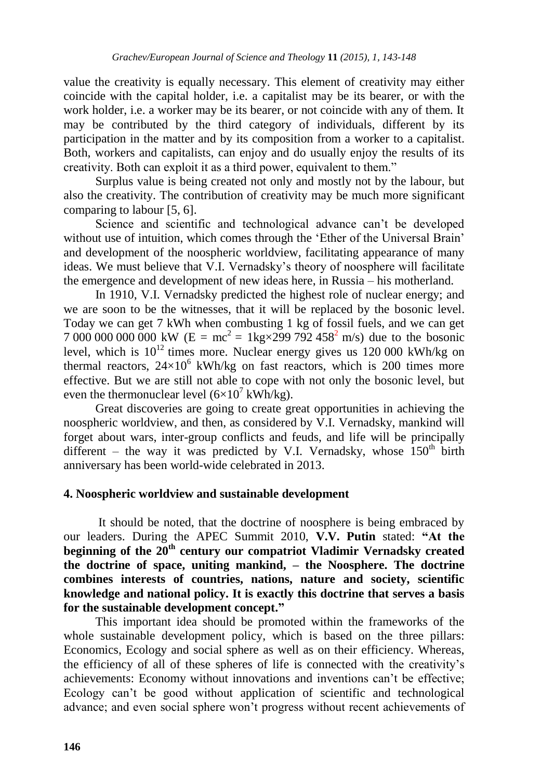value the creativity is equally necessary. This element of creativity may either coincide with the capital holder, i.e. a capitalist may be its bearer, or with the work holder, i.e. a worker may be its bearer, or not coincide with any of them. It may be contributed by the third category of individuals, different by its participation in the matter and by its composition from a worker to a capitalist. Both, workers and capitalists, can enjoy and do usually enjoy the results of its creativity. Both can exploit it as a third power, equivalent to them."

Surplus value is being created not only and mostly not by the labour, but also the creativity. The contribution of creativity may be much more significant comparing to labour [5, 6].

Science and scientific and technological advance can"t be developed without use of intuition, which comes through the 'Ether of the Universal Brain' and development of the noospheric worldview, facilitating appearance of many ideas. We must believe that V.I. Vernadsky"s theory of noosphere will facilitate the emergence and development of new ideas here, in Russia – his motherland.

In 1910, V.I. Vernadsky predicted the highest role of nuclear energy; and we are soon to be the witnesses, that it will be replaced by the bosonic level. Today we can get 7 kWh when combusting 1 kg of fossil fuels, and we can get 7 000 000 000 000 kW ( $E = mc^2 = 1$ kg×299 792 458<sup>2</sup> m/s) due to the bosonic level, which is  $10^{12}$  times more. Nuclear energy gives us 120 000 kWh/kg on thermal reactors,  $24\times10^6$  kWh/kg on fast reactors, which is 200 times more effective. But we are still not able to cope with not only the bosonic level, but even the thermonuclear level  $(6\times10^7 \text{ kWh/kg})$ .

Great discoveries are going to create great opportunities in achieving the noospheric worldview, and then, as considered by V.I. Vernadsky, mankind will forget about wars, inter-group conflicts and feuds, and life will be principally different – the way it was predicted by V.I. Vernadsky, whose  $150<sup>th</sup>$  birth anniversary has been world-wide celebrated in 2013.

#### **4. Noospheric worldview and sustainable development**

It should be noted, that the doctrine of noosphere is being embraced by our leaders. During the APEC Summit 2010, **V.V. Putin** stated: **"At the beginning of the 20th century our compatriot Vladimir Vernadsky created the doctrine of space, uniting mankind, – the Noosphere. The doctrine combines interests of countries, nations, nature and society, scientific knowledge and national policy. It is exactly this doctrine that serves a basis for the sustainable development concept."**

This important idea should be promoted within the frameworks of the whole sustainable development policy, which is based on the three pillars: Economics, Ecology and social sphere as well as on their efficiency. Whereas, the efficiency of all of these spheres of life is connected with the creativity"s achievements: Economy without innovations and inventions can"t be effective; Ecology can"t be good without application of scientific and technological advance; and even social sphere won"t progress without recent achievements of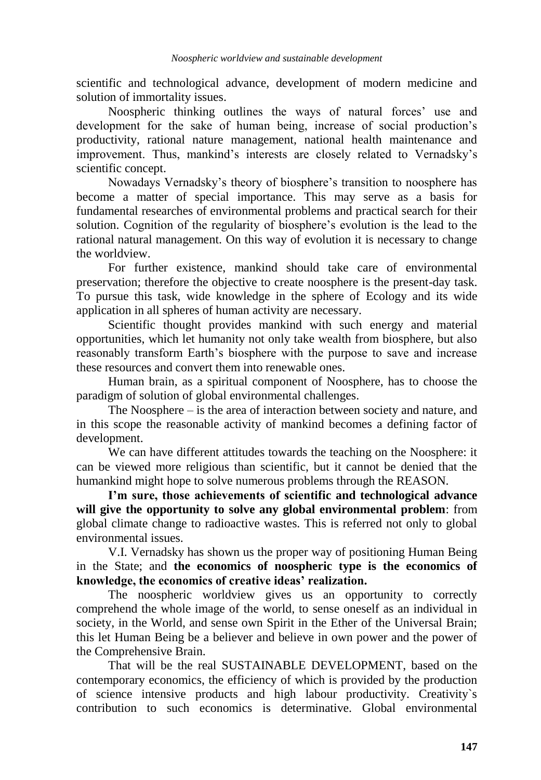scientific and technological advance, development of modern medicine and solution of immortality issues.

Noospheric thinking outlines the ways of natural forces' use and development for the sake of human being, increase of social production's productivity, rational nature management, national health maintenance and improvement. Thus, mankind's interests are closely related to Vernadsky's scientific concept.

Nowadays Vernadsky"s theory of biosphere"s transition to noosphere has become a matter of special importance. This may serve as a basis for fundamental researches of environmental problems and practical search for their solution. Cognition of the regularity of biosphere"s evolution is the lead to the rational natural management. On this way of evolution it is necessary to change the worldview.

For further existence, mankind should take care of environmental preservation; therefore the objective to create noosphere is the present-day task. To pursue this task, wide knowledge in the sphere of Ecology and its wide application in all spheres of human activity are necessary.

Scientific thought provides mankind with such energy and material opportunities, which let humanity not only take wealth from biosphere, but also reasonably transform Earth"s biosphere with the purpose to save and increase these resources and convert them into renewable ones.

Human brain, as a spiritual component of Noosphere, has to choose the paradigm of solution of global environmental challenges.

The Noosphere – is the area of interaction between society and nature, and in this scope the reasonable activity of mankind becomes a defining factor of development.

We can have different attitudes towards the teaching on the Noosphere: it can be viewed more religious than scientific, but it cannot be denied that the humankind might hope to solve numerous problems through the REASON.

**I'm sure, those achievements of scientific and technological advance will give the opportunity to solve any global environmental problem**: from global climate change to radioactive wastes. This is referred not only to global environmental issues.

V.I. Vernadsky has shown us the proper way of positioning Human Being in the State; and **the economics of noospheric type is the economics of knowledge, the economics of creative ideas' realization.** 

The noospheric worldview gives us an opportunity to correctly comprehend the whole image of the world, to sense oneself as an individual in society, in the World, and sense own Spirit in the Ether of the Universal Brain; this let Human Being be a believer and believe in own power and the power of the Comprehensive Brain.

That will be the real SUSTAINABLE DEVELOPMENT, based on the contemporary economics, the efficiency of which is provided by the production of science intensive products and high labour productivity. Creativity`s contribution to such economics is determinative. Global environmental